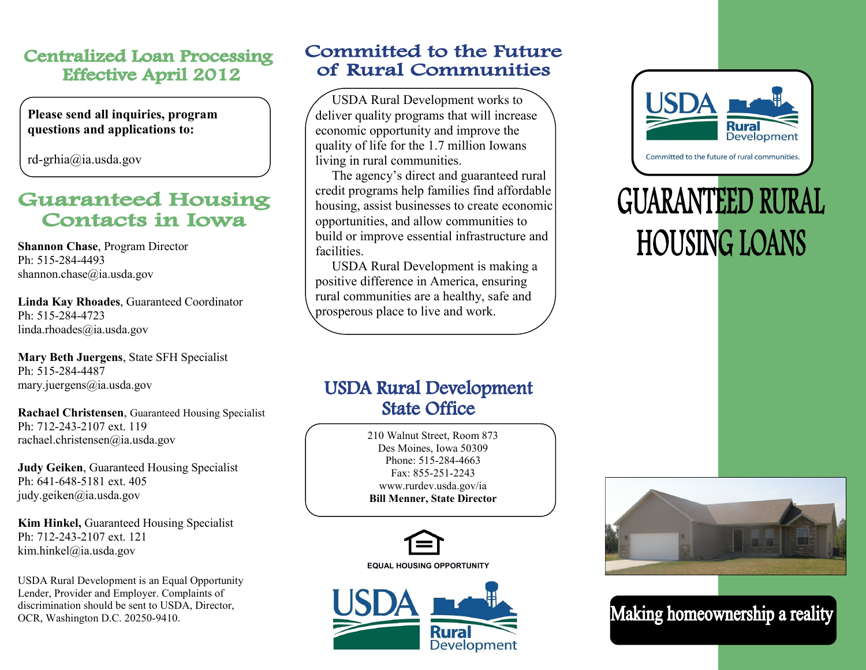#### **Centralized Loan Processing Effective April 2012**

**Please send all inquiries, program questions and applications to:**

rd-grhia@ia.usda.gov

#### **Guaranteed Housing Contacts in Iowa**

**Shannon Chase**, Program Director Ph: 515-284-4493 shannon.chase@ia.usda.gov

**Linda Kay Rhoades**, Guaranteed Coordinator Ph: 515-284-4723 linda.rhoades@ia.usda.gov

**Mary Beth Juergens**, State SFH Specialist Ph: 515-284-4487 mary.juergens@ia.usda.gov

**Rachael Christensen**, Guaranteed Housing Specialist Ph: 712-243-2107 ext. 119 rachael.christensen@ia.usda.gov

**Judy Geiken**, Guaranteed Housing Specialist Ph: 641-648-5181 ext. 405 judy.geiken@ia.usda.gov

**Kim Hinkel,** Guaranteed Housing Specialist Ph: 712-243-2107 ext. 121 kim.hinkel@ia.usda.gov

USDA Rural Development is an Equal Opportunity Lender, Provider and Employer. Complaints of discrimination should be sent to USDA, Director, OCR, Washington D.C. 20250-9410.

#### **Committed to the Future** of Rural Communities

 USDA Rural Development works to deliver quality programs that will increase economic opportunity and improve the quality of life for the 1.7 million Iowans living in rural communities.

 The agency's direct and guaranteed rural credit programs help families find affordable housing, assist businesses to create economic opportunities, and allow communities to build or improve essential infrastructure and facilities.

 USDA Rural Development is making a positive difference in America, ensuring rural communities are a healthy, safe and prosperous place to live and work.

### **USDA Rural Development State Office**

210 Walnut Street, Room 873 Des Moines, Iowa 50309 Phone: 515-284-4663 Fax: 855-251-2243 www.rurdev.usda.gov/ia **Bill Menner, State Director**



**Rura** Development



**GUARANTEED RURAL HOUSING LOANS** 



Making homeownership a reality